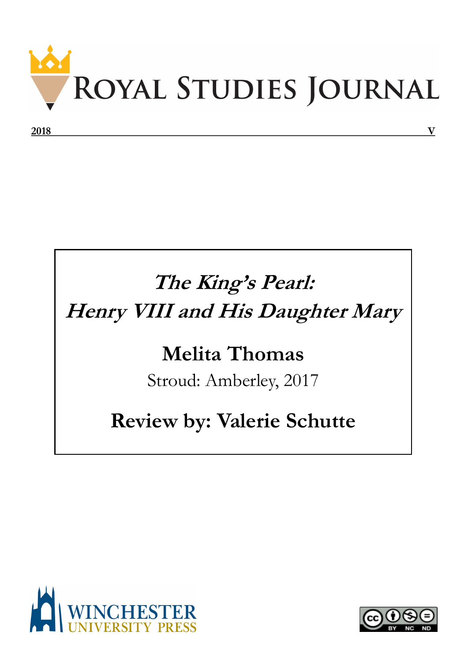

## **The King's Pearl: Henry VIII and His Daughter Mary**

## **Melita Thomas**

Stroud: Amberley, 2017

## **Review by: Valerie Schutte**



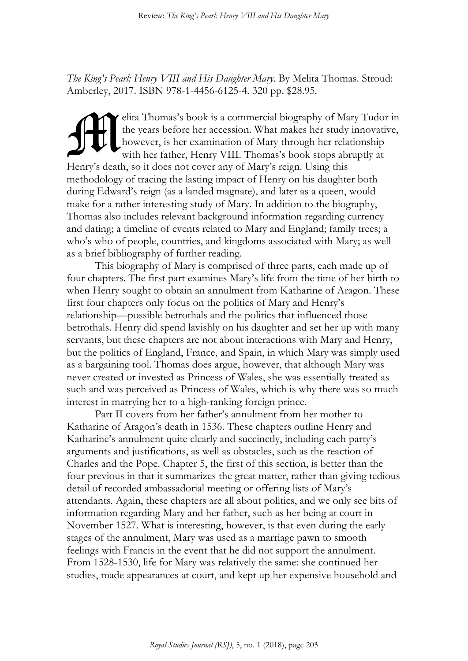*The King's Pearl: Henry VIII and His Daughter Mary*. By Melita Thomas. Stroud: Amberley, 2017. ISBN 978-1-4456-6125-4. 320 pp. \$28.95.

elita Thomas's book is a commercial biography of Mary Tudor in the years before her accession. What makes her study innovative, however, is her examination of Mary through her relationship with her father, Henry VIII. Thomas's book stops abruptly at Henry's death, so it does not cover any of Mary's reign. Using this methodology of tracing the lasting impact of Henry on his daughter both during Edward's reign (as a landed magnate), and later as a queen, would make for a rather interesting study of Mary. In addition to the biography, Thomas also includes relevant background information regarding currency and dating; a timeline of events related to Mary and England; family trees; a who's who of people, countries, and kingdoms associated with Mary; as well as a brief bibliography of further reading. M

This biography of Mary is comprised of three parts, each made up of four chapters. The first part examines Mary's life from the time of her birth to when Henry sought to obtain an annulment from Katharine of Aragon. These first four chapters only focus on the politics of Mary and Henry's relationship—possible betrothals and the politics that influenced those betrothals. Henry did spend lavishly on his daughter and set her up with many servants, but these chapters are not about interactions with Mary and Henry, but the politics of England, France, and Spain, in which Mary was simply used as a bargaining tool. Thomas does argue, however, that although Mary was never created or invested as Princess of Wales, she was essentially treated as such and was perceived as Princess of Wales, which is why there was so much interest in marrying her to a high-ranking foreign prince.

Part II covers from her father's annulment from her mother to Katharine of Aragon's death in 1536. These chapters outline Henry and Katharine's annulment quite clearly and succinctly, including each party's arguments and justifications, as well as obstacles, such as the reaction of Charles and the Pope. Chapter 5, the first of this section, is better than the four previous in that it summarizes the great matter, rather than giving tedious detail of recorded ambassadorial meeting or offering lists of Mary's attendants. Again, these chapters are all about politics, and we only see bits of information regarding Mary and her father, such as her being at court in November 1527. What is interesting, however, is that even during the early stages of the annulment, Mary was used as a marriage pawn to smooth feelings with Francis in the event that he did not support the annulment. From 1528-1530, life for Mary was relatively the same: she continued her studies, made appearances at court, and kept up her expensive household and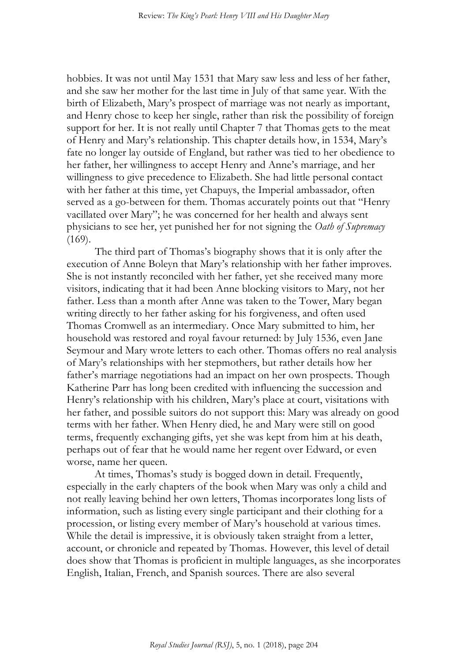hobbies. It was not until May 1531 that Mary saw less and less of her father, and she saw her mother for the last time in July of that same year. With the birth of Elizabeth, Mary's prospect of marriage was not nearly as important, and Henry chose to keep her single, rather than risk the possibility of foreign support for her. It is not really until Chapter 7 that Thomas gets to the meat of Henry and Mary's relationship. This chapter details how, in 1534, Mary's fate no longer lay outside of England, but rather was tied to her obedience to her father, her willingness to accept Henry and Anne's marriage, and her willingness to give precedence to Elizabeth. She had little personal contact with her father at this time, yet Chapuys, the Imperial ambassador, often served as a go-between for them. Thomas accurately points out that "Henry vacillated over Mary"; he was concerned for her health and always sent physicians to see her, yet punished her for not signing the *Oath of Supremacy*  $(169).$ 

The third part of Thomas's biography shows that it is only after the execution of Anne Boleyn that Mary's relationship with her father improves. She is not instantly reconciled with her father, yet she received many more visitors, indicating that it had been Anne blocking visitors to Mary, not her father. Less than a month after Anne was taken to the Tower, Mary began writing directly to her father asking for his forgiveness, and often used Thomas Cromwell as an intermediary. Once Mary submitted to him, her household was restored and royal favour returned: by July 1536, even Jane Seymour and Mary wrote letters to each other. Thomas offers no real analysis of Mary's relationships with her stepmothers, but rather details how her father's marriage negotiations had an impact on her own prospects. Though Katherine Parr has long been credited with influencing the succession and Henry's relationship with his children, Mary's place at court, visitations with her father, and possible suitors do not support this: Mary was already on good terms with her father. When Henry died, he and Mary were still on good terms, frequently exchanging gifts, yet she was kept from him at his death, perhaps out of fear that he would name her regent over Edward, or even worse, name her queen.

At times, Thomas's study is bogged down in detail. Frequently, especially in the early chapters of the book when Mary was only a child and not really leaving behind her own letters, Thomas incorporates long lists of information, such as listing every single participant and their clothing for a procession, or listing every member of Mary's household at various times. While the detail is impressive, it is obviously taken straight from a letter, account, or chronicle and repeated by Thomas. However, this level of detail does show that Thomas is proficient in multiple languages, as she incorporates English, Italian, French, and Spanish sources. There are also several